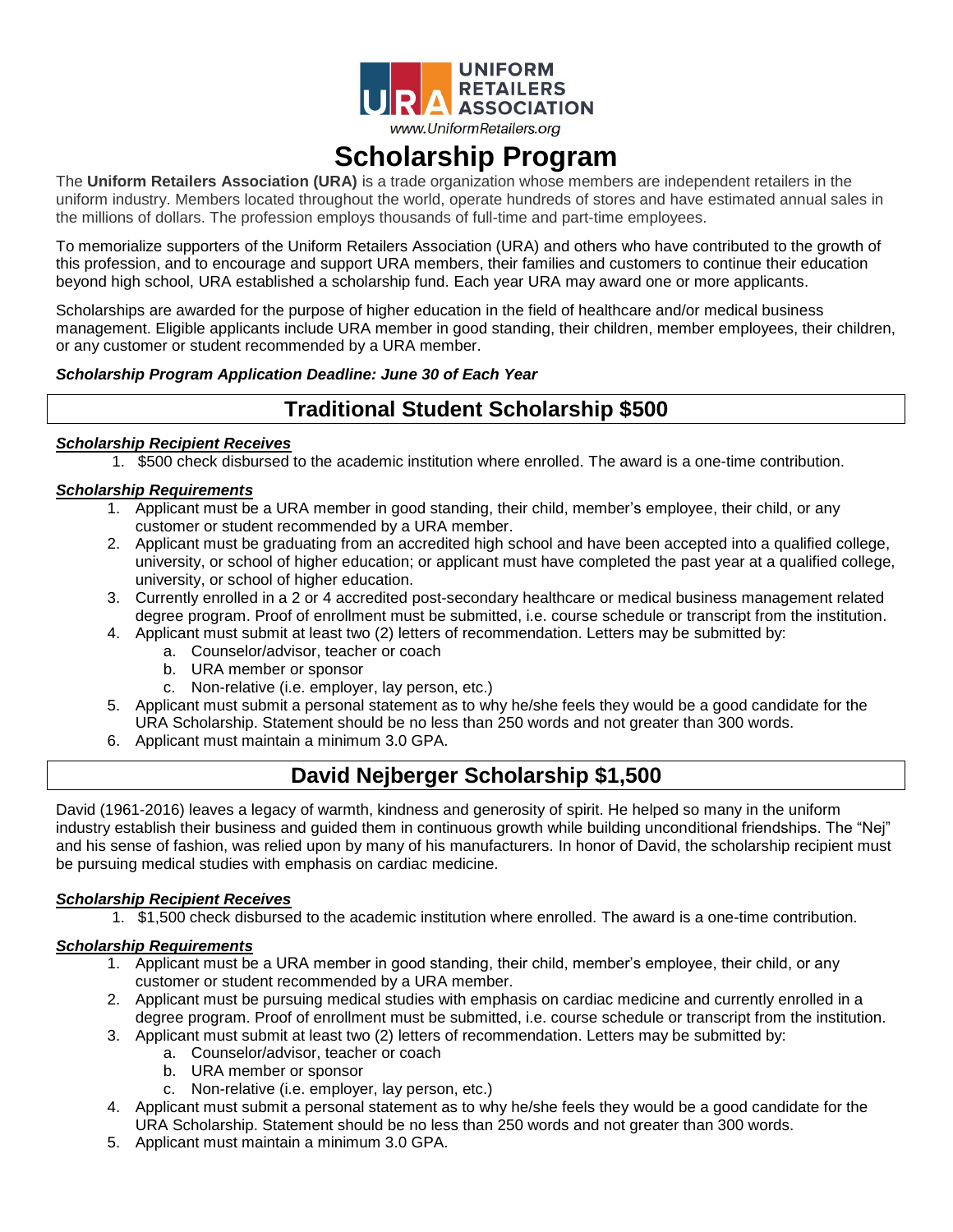

# **Scholarship Program**

The **Uniform Retailers Association (URA)** is a trade organization whose members are independent retailers in the uniform industry. Members located throughout the world, operate hundreds of stores and have estimated annual sales in the millions of dollars. The profession employs thousands of full-time and part-time employees.

To memorialize supporters of the Uniform Retailers Association (URA) and others who have contributed to the growth of this profession, and to encourage and support URA members, their families and customers to continue their education beyond high school, URA established a scholarship fund. Each year URA may award one or more applicants.

Scholarships are awarded for the purpose of higher education in the field of healthcare and/or medical business management. Eligible applicants include URA member in good standing, their children, member employees, their children, or any customer or student recommended by a URA member.

### *Scholarship Program Application Deadline: June 30 of Each Year*

## **Traditional Student Scholarship \$500**

#### *Scholarship Recipient Receives*

1. \$500 check disbursed to the academic institution where enrolled. The award is a one-time contribution.

#### *Scholarship Requirements*

- 1. Applicant must be a URA member in good standing, their child, member's employee, their child, or any customer or student recommended by a URA member.
- 2. Applicant must be graduating from an accredited high school and have been accepted into a qualified college, university, or school of higher education; or applicant must have completed the past year at a qualified college, university, or school of higher education.
- 3. Currently enrolled in a 2 or 4 accredited post-secondary healthcare or medical business management related degree program. Proof of enrollment must be submitted, i.e. course schedule or transcript from the institution.
- 4. Applicant must submit at least two (2) letters of recommendation. Letters may be submitted by:
	- a. Counselor/advisor, teacher or coach
	- b. URA member or sponsor
	- c. Non-relative (i.e. employer, lay person, etc.)
- 5. Applicant must submit a personal statement as to why he/she feels they would be a good candidate for the URA Scholarship. Statement should be no less than 250 words and not greater than 300 words.
- 6. Applicant must maintain a minimum 3.0 GPA.

## **David Nejberger Scholarship \$1,500**

David (1961-2016) leaves a legacy of warmth, kindness and generosity of spirit. He helped so many in the uniform industry establish their business and guided them in continuous growth while building unconditional friendships. The "Nej" and his sense of fashion, was relied upon by many of his manufacturers. In honor of David, the scholarship recipient must be pursuing medical studies with emphasis on cardiac medicine.

#### *Scholarship Recipient Receives*

1. \$1,500 check disbursed to the academic institution where enrolled. The award is a one-time contribution.

#### *Scholarship Requirements*

- 1. Applicant must be a URA member in good standing, their child, member's employee, their child, or any customer or student recommended by a URA member.
- 2. Applicant must be pursuing medical studies with emphasis on cardiac medicine and currently enrolled in a degree program. Proof of enrollment must be submitted, i.e. course schedule or transcript from the institution.
- 3. Applicant must submit at least two (2) letters of recommendation. Letters may be submitted by:
	- a. Counselor/advisor, teacher or coach
	- b. URA member or sponsor
	- c. Non-relative (i.e. employer, lay person, etc.)
- 4. Applicant must submit a personal statement as to why he/she feels they would be a good candidate for the URA Scholarship. Statement should be no less than 250 words and not greater than 300 words.
- 5. Applicant must maintain a minimum 3.0 GPA.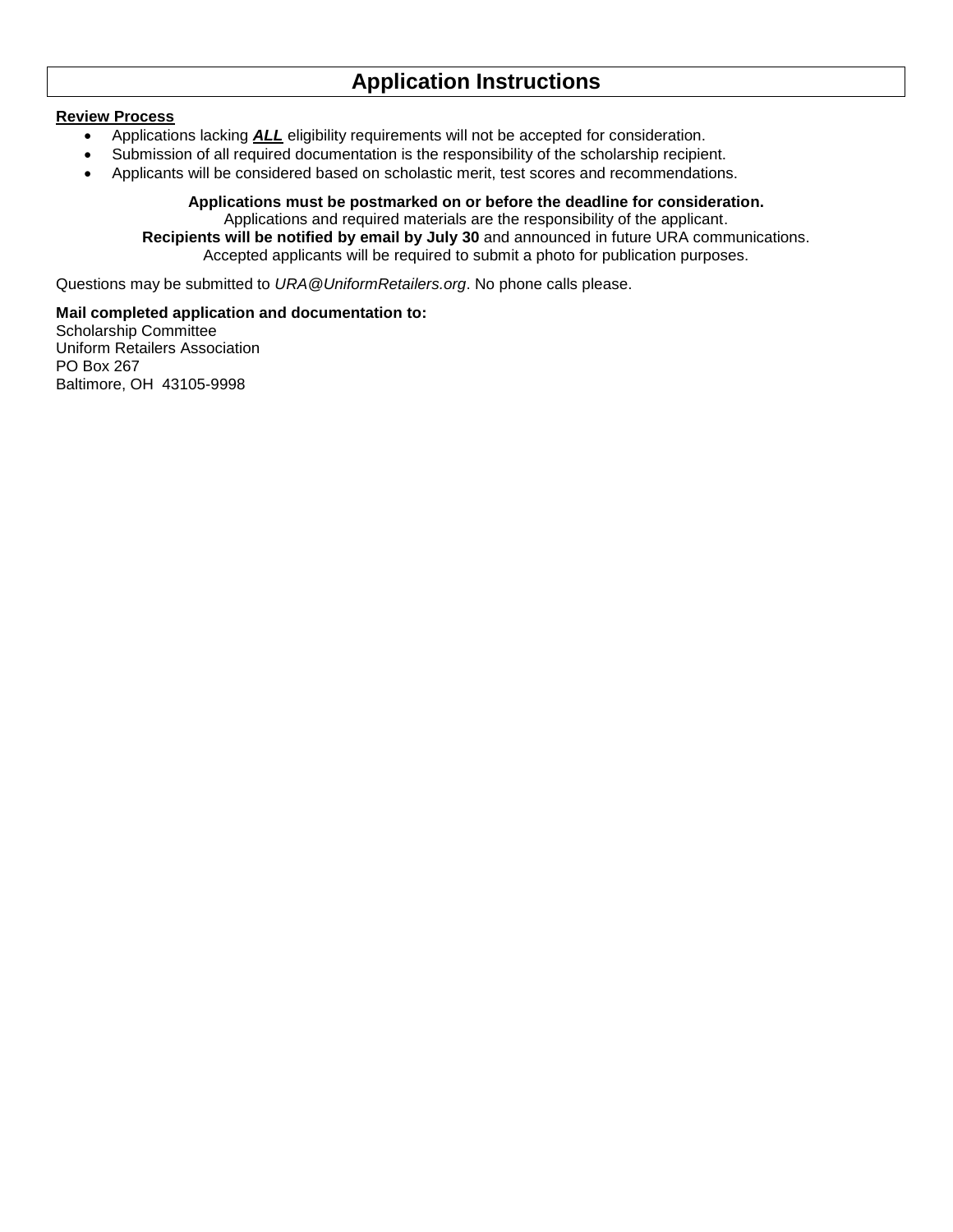## **Application Instructions**

#### **Review Process**

- Applications lacking **ALL** eligibility requirements will not be accepted for consideration.
- Submission of all required documentation is the responsibility of the scholarship recipient.
- Applicants will be considered based on scholastic merit, test scores and recommendations.

#### **Applications must be postmarked on or before the deadline for consideration.** Applications and required materials are the responsibility of the applicant.

**Recipients will be notified by email by July 30** and announced in future URA communications. Accepted applicants will be required to submit a photo for publication purposes.

Questions may be submitted to *URA@UniformRetailers.org*. No phone calls please.

**Mail completed application and documentation to:** Scholarship Committee Uniform Retailers Association PO Box 267 Baltimore, OH 43105-9998